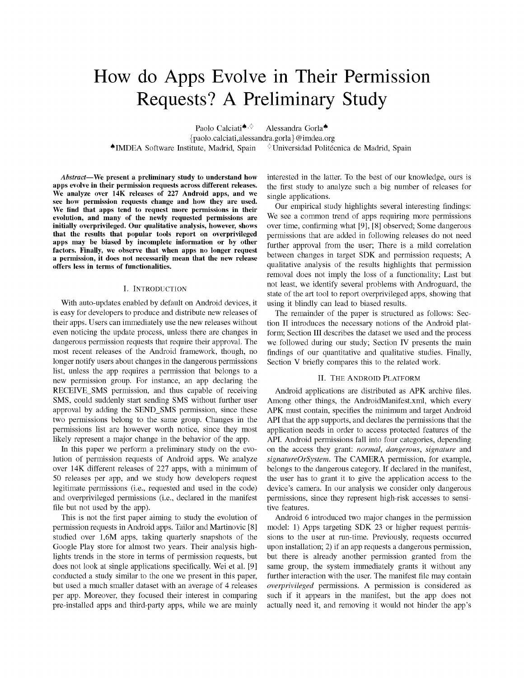# How do Apps Evolve in Their Permission Requests? A Preliminary Study

Paolo Calciati<sup>4,<</sup> {paolo.calciati,alessandra.gorla}@imdea.org IMDEA Software Institute, Madrid, Spain

Alessandra Gorla

 $^{\diamond}$ Universidad Politécnica de Madrid, Spain

Abstract—We present a preliminary study to understand how apps evolve in their permission requests across different releases. We analyze over 14K releases of 227 Android apps, and we see how permission requests change and how they are used. We find that apps tend to request more permissions in their evolution, and many of the newly requested permissions are initially overprivileged. Our qualitative analysis, however, shows that the results that popular tools report on overprivileged apps may be biased by incomplete information or by other factors. Finally, we observe that when apps no longer request a permission, it does not necessarily mean that the new release offers less in terms of functionalities.

## I. INTRODUCTION

With auto-updates enabled by default on Android devices, it is easy for developers to produce and distribute new releases of their apps. Users can immediately use the new releases without even noticing the update process, unless there are changes in dangerous permission requests that require their approval. The most recent releases of the Android framework, though, no longer notify users about changes in the dangerous permissions list, unless the app requires a permission that belongs to a new permission group. For instance, an app declaring the RECEIVE\_SMS permission, and thus capable of receiving SMS, could suddenly start sending SMS without further user approval by adding the SEND\_SMS permission, since these two permissions belong to the same group. Changes in the permissions list are however worth notice, since they most likely represent a major change in the behavior of the app.

In this paper we perform a preliminary study on the evolution of permission requests of Android apps. We analyze over 14K different releases of 227 apps, with a minimum of 50 releases per app, and we study how developers request legitimate permissions (i.e., requested and used in the code) and overprivileged permissions (i.e., declared in the manifest file but not used by the app).

This is not the first paper aiming to study the evolution of permission requests in Android apps. Tailor and Martinovic [8] studied over 1,6M apps, taking quarterly snapshots of the Google Play store for almost two years. Their analysis highlights trends in the store in terms of permission requests, but does not look at single applications specifically. Wei et al. [9] conducted a study similar to the one we present in this paper, but used a much smaller dataset with an average of 4 releases per app. Moreover, they focused their interest in comparing pre-installed apps and third-party apps, while we are mainly

interested in the latter. To the best of our knowledge, ours is the first study to analyze such a big number of releases for single applications.

Our empirical study highlights several interesting findings: We see a common trend of apps requiring more permissions over time, confirming what [9], [8] observed; Some dangerous permissions that are added in following releases do not need further approval from the user; There is a mild correlation between changes in target SDK and permission requests; A qualitative analysis of the results highlights that permission removal does not imply the loss of a functionality; Last but not least, we identify several problems with Androguard, the state of the art tool to report overprivileged apps, showing that using it blindly can lead to biased results.

The remainder of the paper is structured as follows: Section II introduces the necessary notions of the Android platform; Section III describes the dataset we used and the process we followed during our study; Section IV presents the main findings of our quantitative and qualitative studies. Finally, Section V briefly compares this to the related work.

#### II. THE ANDROID PLATFORM

Android applications are distributed as APK archive files. Among other things, the AndroidManifest.xml, which every APK must contain, specifies the minimum and target Android API that the app supports, and declares the permissions that the application needs in order to access protected features of the API. Android permissions fall into four categories, depending on the access they grant: normal, dangerous, signature and  $signatureOrSystem$ . The CAMERA permission, for example, belongs to the dangerous category. If declared in the manifest, the user has to grant it to give the application access to the device's camera. In our analysis we consider only dangerous permissions, since they represent high-risk accesses to sensitive features.

Android 6 introduced two major changes in the permission model: 1) Apps targeting SDK 23 or higher request permissions to the user at run-time. Previously, requests occurred upon installation; 2) if an app requests a dangerous permission, but there is already another permission granted from the same group, the system immediately grants it without any further interaction with the user. The manifest file may contain overprivileged permissions. A permission is considered as such if it appears in the manifest, but the app does not actually need it, and removing it would not hinder the app's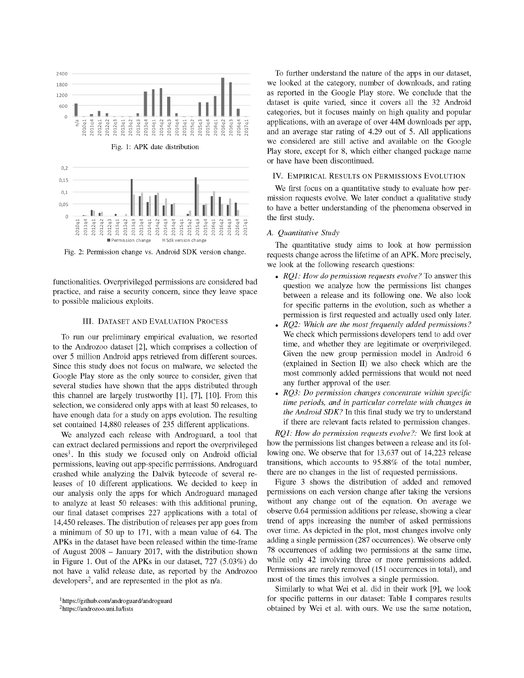

Fig. 2: Permission change vs. Android SDK version change.

functionalities. Overprivileged permissions are considered bad practice, and raise a security concern, since they leave space to possible malicious exploits.

## III. DATASET AND EVALUATION PROCESS

To run our preliminary empirical evaluation, we resorted to the Androzoo dataset [2], which comprises a collection of over 5 million Android apps retrieved from different sources. Since this study does not focus on malware, we selected the Google Play store as the only source to consider, given that several studies have shown that the apps distributed through this channel are largely trustworthy [1], [7], [10]. From this selection, we considered only apps with at least 50 releases, to have enough data for a study on apps evolution. The resulting set contained 14,880 releases of 235 different applications.

We analyzed each release with Androguard, a tool that can extract declared permissions and report the overprivileged ones<sup>1</sup>. In this study we focused only on Android official permissions, leaving out app-specific permissions. Androguard crashed while analyzing the Dalvik bytecode of several releases of 10 different applications. We decided to keep in our analysis only the apps for which Androguard managed to analyze at least 50 releases: with this additional pruning, our final dataset comprises 227 applications with a total of 14,450 releases. The distribution of releases per app goes from a minimum of 50 up to 171, with a mean value of 64. The APKs in the dataset have been released within the time-frame of August 2008 - lanuary 2017, with the distribution shown in Figure 1. Out of the APKs in our dataset, 727 (5.03%) do not have a valid release date, as reported by the Androzoo developers<sup>2</sup>, and are represented in the plot as  $n/a$ .

2 <https://androzoo.uni.lu/lists>

To further understand the nature of the apps in our dataset, we looked at the category, number of downloads, and rating as reported in the Google Play store. We conclude that the dataset is quite varied, since it covers all the 32 Android categories, but it focuses mainly on high quality and popular applications, with an average of over 44M downloads per app, and an average star rating of 4.29 out of 5. All applications we considered are still active and available on the Google Play store, except for 8, which either changed package name or have have been discontinued.

#### IV. EMPIRICAL RESULTS ON PERMISSIONS EVOLUTION

We first focus on a quantitative study to evaluate how permission requests evolve. We later conduct a qualitative study to have a better understanding of the phenomena observed in the first study.

#### *A. Quantitative Study*

The quantitative study aims to look at how permission requests change across the lifetime of an APK. More precisely, we look at the following research questions:

- # *RQ1: How do permission requests evolve?* To answer this question we analyze how the permissions list changes between a release and its following one. We also look for specific patterns in the evolution, such as whether a permission is first requested and actually used only later.
- # *RQ2: Which are the most frequently added permissions?*  We check which permissions developers tend to add over time, and whether they are legitimate or overprivileged. Given the new group permission model in Android 6 (explained in Section II) we also check which are the most commonly added permissions that would not need any further approval of the user.
- *RQ3: Do permission changes concentrate within specific time periods, and in particular correlate with changes in the Android SDK?* In this final study we try to understand if there are relevant facts related to permission changes.

*RQ1: How do permission requests evolve?:* We first look at how the permissions list changes between a release and its following one. We observe that for 13,637 out of 14,223 release transitions, which accounts to 95.88% of the total number, there are no changes in the list of requested permissions.

Figure 3 shows the distribution of added and removed permissions on each version change after taking the versions without any change out of the equation. On average we observe 0.64 permission additions per release, showing a clear trend of apps increasing the number of asked permissions over time. As depicted in the plot, most changes involve only adding a single permission (287 occurrences). We observe only 78 occurrences of adding two permissions at the same time, while only 42 involving three or more permissions added. Permissions are rarely removed (151 occurrences in total), and most of the times this involves a single permission.

Similarly to what Wei et al. did in their work [9], we look for specific patterns in our dataset: Table I compares results obtained by Wei et al. with ours. We use the same notation,

<sup>1</sup> <https://github.com/androguard/androguard>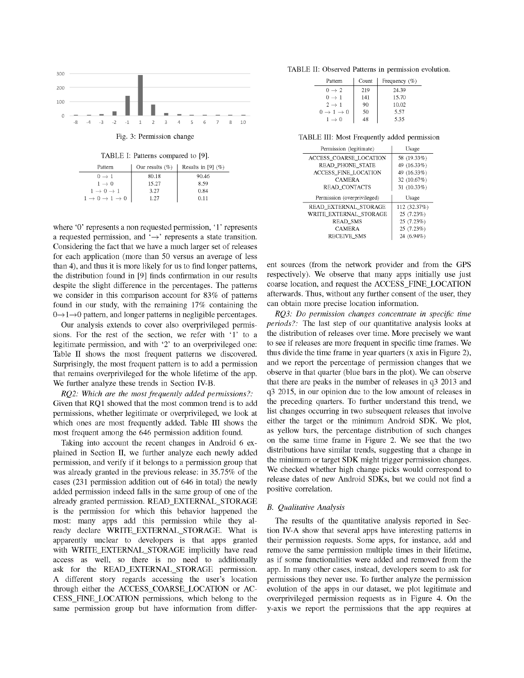

TABLE I: Patterns compared to [9].

| Pattern                                       | Our results $(\%)$ | Results in [9] $(\%)$ |
|-----------------------------------------------|--------------------|-----------------------|
| $0 \rightarrow 1$                             | 80.18              | 90.46                 |
| $1 \rightarrow 0$                             | 15.27              | 8.59                  |
| $1 \rightarrow 0 \rightarrow 1$               | 3.27               | 0.84                  |
| $1 \rightarrow 0 \rightarrow 1 \rightarrow 0$ | 1.27               | 0.11                  |

where '0' represents a non requested permission, '1' represents a requested permission, and  $\rightarrow$  represents a state transition. Considering the fact that we have a much larger set of releases for each application (more than 50 versus an average of less than 4), and thus it is more likely for us to find longer patterns, the distribution found in [9] finds confirmation in our results despite the slight difference in the percentages. The patterns we consider in this comparison account for 83% of patterns found in our study, with the remaining 17% containing the  $0 \rightarrow 1 \rightarrow 0$  pattern, and longer patterns in negligible percentages.

Our analysis extends to cover also overprivileged permissions. For the rest of the section, we refer with '1' to a legitimate permission, and with '2' to an overprivileged one: Table II shows the most frequent patterns we discovered. Surprisingly, the most frequent pattern is to add a permission that remains overprivileged for the whole lifetime of the app. We further analyze these trends in Section IV-B.

*RQ2: Which are the most frequently added permissions?:*  Given that RQ1 showed that the most common trend is to add permissions, whether legitimate or overprivileged, we look at which ones are most frequently added. Table III shows the most frequent among the 646 permission addition found.

Taking into account the recent changes in Android 6 explained in Section II, we further analyze each newly added permission, and verify if it belongs to a permission group that was already granted in the previous release: in 35.75% of the cases (231 permission addition out of 646 in total) the newly added permission indeed falls in the same group of one of the already granted permission. READ\_EXTERNAL\_STORAGE is the permission for which this behavior happened the most: many apps add this permission while they already declare WRITE\_EXTERNAL\_STORAGE. What is apparently unclear to developers is that apps granted with WRITE\_EXTERNAL\_STORAGE implicitly have read access as well, so there is no need to additionally ask for the READ\_EXTERNAL\_STORAGE permission. A different story regards accessing the user's location through either the ACCESS\_COARSE\_LOCATION or AC-CESS\_FINE\_LOCATION permissions, which belong to the same permission group but have information from differ-

TABLE II: Observed Patterns in permission evolution.

| Pattern                         | Count | Frequency $(\%)$ |
|---------------------------------|-------|------------------|
| $0 \rightarrow 2$               | 219   | 24.39            |
| $0 \rightarrow 1$               | 141   | 15.70            |
| $2 \rightarrow 1$               | 90    | 10.02            |
| $0 \rightarrow 1 \rightarrow 0$ | 50    | 5.57             |
| $1 \rightarrow 0$               | 48    | 5.35             |

Fig. 3: Permission change TABLE III: Most Frequently added permission

| Permission (legitimate)       | Usage        |
|-------------------------------|--------------|
| <b>ACCESS COARSE LOCATION</b> | 58 (19.33%)  |
| <b>READ PHONE STATE</b>       | 49 (16.33%)  |
| <b>ACCESS FINE LOCATION</b>   | 49 (16.33%)  |
| <b>CAMERA</b>                 | 32 (10.67%)  |
| <b>READ CONTACTS</b>          | 31 (10.33%)  |
|                               |              |
| Permission (overprivileged)   | Usage        |
| READ EXTERNAL STORAGE         | 112 (32.37%) |
| WRITE EXTERNAL STORAGE        | 25 (7.23%)   |
| <b>READ_SMS</b>               | 25(7.23%)    |
| <b>CAMERA</b>                 | 25(7.23%)    |

ent sources (from the network provider and from the GPS respectively). We observe that many apps initially use just coarse location, and request the ACCESS\_FINE\_LOCATION afterwards. Thus, without any further consent of the user, they can obtain more precise location information.

*RQ3: Do permission changes concentrate in specific time periods?:* The last step of our quantitative analysis looks at the distribution of releases over time. More precisely we want to see if releases are more frequent in specific time frames. We thus divide the time frame in year quarters (x axis in Figure 2), and we report the percentage of permission changes that we observe in that quarter (blue bars in the plot). We can observe that there are peaks in the number of releases in q3 2013 and q3 2015, in our opinion due to the low amount of releases in the preceding quarters. To further understand this trend, we list changes occurring in two subsequent releases that involve either the target or the minimum Android SDK. We plot, as yellow bars, the percentage distribution of such changes on the same time frame in Figure 2. We see that the two distributions have similar trends, suggesting that a change in the minimum or target SDK might trigger permission changes. We checked whether high change picks would correspond to release dates of new Android SDKs, but we could not find a positive correlation.

### *B. Qualitative Analysis*

The results of the quantitative analysis reported in Section IV-A show that several apps have interesting patterns in their permission requests. Some apps, for instance, add and remove the same permission multiple times in their lifetime, as if some functionalities were added and removed from the app. In many other cases, instead, developers seem to ask for permissions they never use. To further analyze the permission evolution of the apps in our dataset, we plot legitimate and overprivileged permission requests as in Figure 4. On the y-axis we report the permissions that the app requires at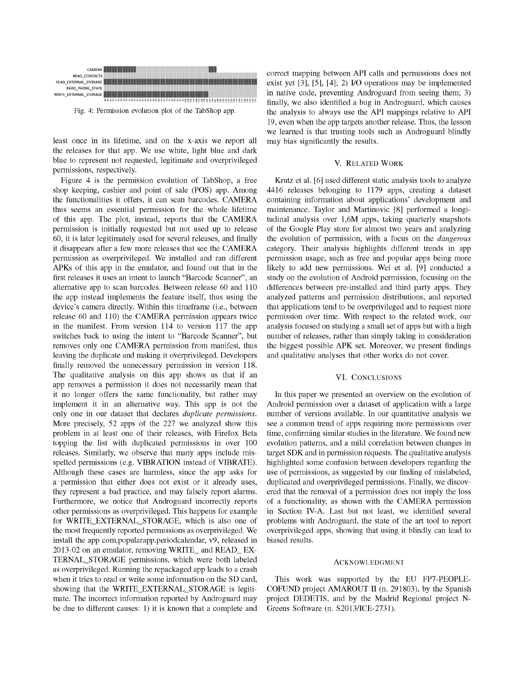

least once in its lifetime, and on the x-axis we report all the releases for that app. We use white, light blue and dark blue to represent not requested, legitimate and overprivileged permissions, respectively.

Figure 4 is the permission evolution of TabShop, a free shop keeping, cashier and point of sale (POS) app. Among the functionalities it offers, it can scan barcodes. CAMERA thus seems an essential permission for the whole lifetime of this app. The plot, instead, reports that the CAMERA permission is initially requested but not used up to release 60, it is later legitimately used for several releases, and finally it disappears after a few more releases that see the CAMERA permission as overprivileged. We installed and ran different APKs of this app in the emulator, and found out that in the first releases it uses an intent to launch "Barcode Scanner", an alternative app to scan barcodes. Between release 60 and 110 the app instead implements the feature itself, thus using the device's camera directly. Within this timeframe (i.e., between release 60 and 110) the CAMERA permission appears twice in the manifest. From version 114 to version 117 the app switches back to using the intent to "Barcode Scanner", but removes only one CAMERA permission from manifest, thus leaving the duplicate and making it overprivileged. Developers finally removed the unnecessary permission in version 118. The qualitative analysis on this app shows us that if an app removes a permission it does not necessarily mean that it no longer offers the same functionality, but rather may implement it in an alternative way. This app is not the only one in our dataset that declares duplicate permissions. More precisely, 52 apps of the 227 we analyzed show this problem in at least one of their releases, with Firefox Beta topping the list with duplicated permissions in over 100 releases. Similarly, we observe that many apps include misspelled permissions (e.g. VIBRATION instead of VIBRATE). Although these cases are harmless, since the app asks for a permission that either does not exist or it already uses, they represent a bad practice, and may falsely report alarms. Furthermore, we notice that Androguard incorrectly reports other permissions as overprivileged. This happens for example for WRITE EXTERNAL STORAGE, which is also one of the most frequently reported permissions as overprivileged. We install the app com.popularapp.periodcalendar, v9, released in 2013-02 on an emulator, removing WRITE\_ and READ\_ EX-TERNAL STORAGE permissions, which were both labeled as overprivileged. Running the repackaged app leads to a crash when it tries to read or write some information on the SD card, showing that the WRITE EXTERNAL STORAGE is legitimate. The incorrect information reported by Androguard may be due to different causes: 1) it is known that a complete and correct mapping between API calls and permissions does not exist yet [3], [5], [4]; 2) I/O operations may be implemented in native code, preventing Androguard from seeing them; 3) finally, we also identified a bug in Androguard, which causes the analysis to always use the API mappings relative to API 19, even when the app targets another release. Thus, the lesson we learned is that trusting tools such as Androguard blindly may bias significantly the results.

#### V. RELATED WORK

Krutz et al. [6] used different static analysis tools to analyze 4416 releases belonging to 1179 apps, creating a dataset containing information about applications' development and maintenance. Taylor and Martinovic [8] performed a longitudinal analysis over 1,6M apps, taking quarterly snapshots of the Google Play store for almost two years and analyzing the evolution of permission, with a focus on the dangerous category. Their analysis highlights different trends in app permission usage, such as free and popular apps being more likely to add new permissions. Wei et al. [9] conducted a study on the evolution of Android permission, focusing on the differences between pre-installed and third party apps. They analyzed patterns and permission distributions, and reported that applications tend to be overprivileged and to request more permission over time. With respect to the related work, our analysis focused on studying a small set of apps but with a high number of releases, rather than simply taking in consideration the biggest possible APK set. Moreover, we present findings and qualitative analyses that other works do not cover.

## VI. CONCLUSIONS

In this paper we presented an overview on the evolution of Android permission over a dataset of application with a large number of versions available. In our quantitative analysis we see a common trend of apps requiring more permissions over time, confirming similar studies in the literature. We found new evolution patterns, and a mild correlation between changes in target SDK and in permission requests. The qualitative analysis highlighted some confusion between developers regarding the use of permissions, as suggested by our finding of mislabeled, duplicated and overprivileged permissions. Finally, we discovered that the removal of a permission does not imply the loss of a functionality, as shown with the CAMERA permission in Section IV-A. Last but not least, we identified several problems with Androguard, the state of the art tool to report overprivileged apps, showing that using it blindly can lead to biased results.

#### ACKNOWLEDGMENT

This work was supported by the EU FP7-PEOPLE-COFUND project AMAROUT II (n. 291803), by the Spanish project DEDETIS, and by the Madrid Regional project N-Greens Software (n. S2013/ICE-2731).